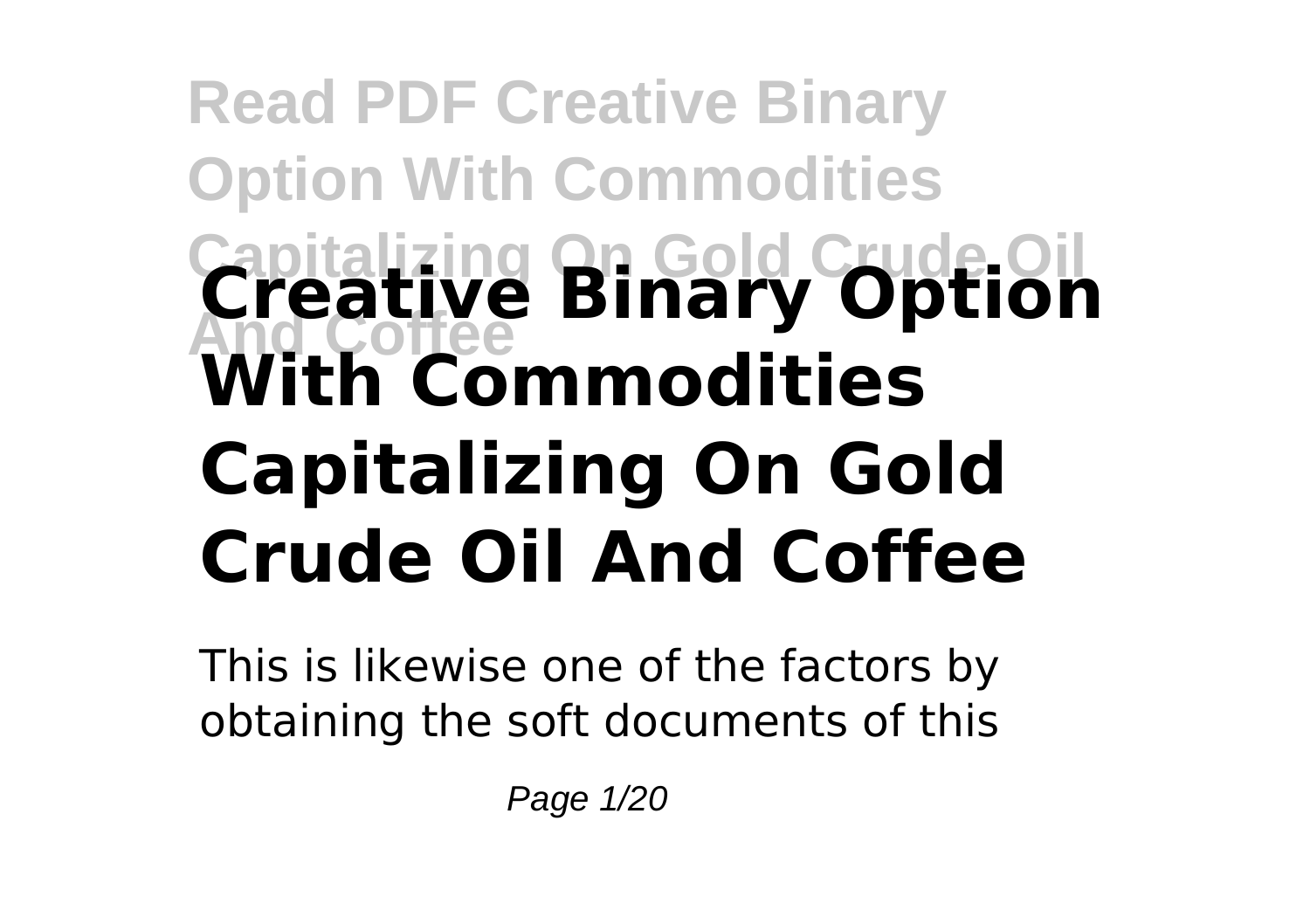# **Read PDF Creative Binary Option With Commodities Capitalizing On Gold Crude Oil And Coffee Creative Binary Option With Commodities Capitalizing On Gold Crude Oil And Coffee**

This is likewise one of the factors by obtaining the soft documents of this

Page 1/20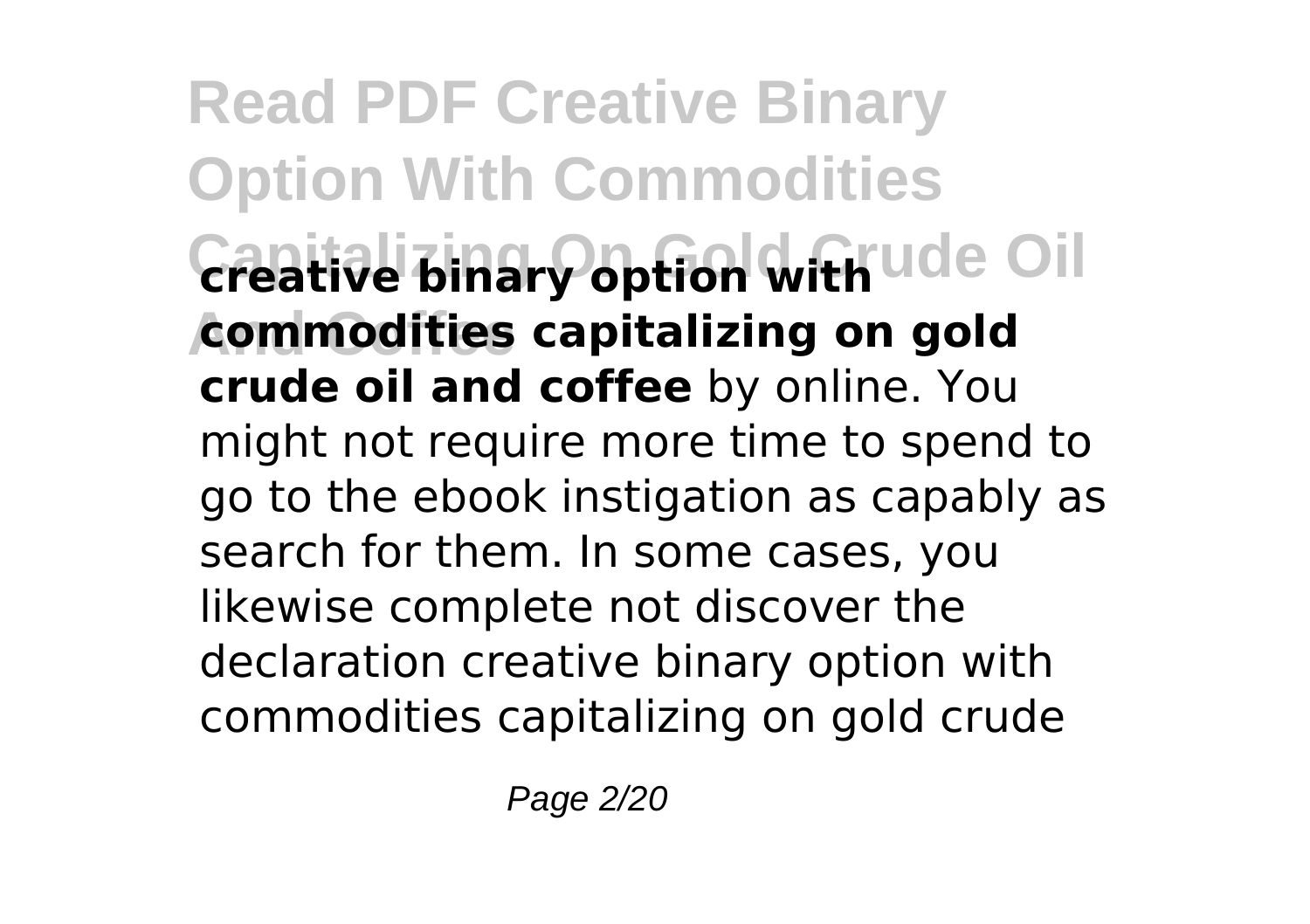**Read PDF Creative Binary Option With Commodities** Creative binary option with ude Oil **And Coffee commodities capitalizing on gold crude oil and coffee** by online. You might not require more time to spend to go to the ebook instigation as capably as search for them. In some cases, you likewise complete not discover the declaration creative binary option with commodities capitalizing on gold crude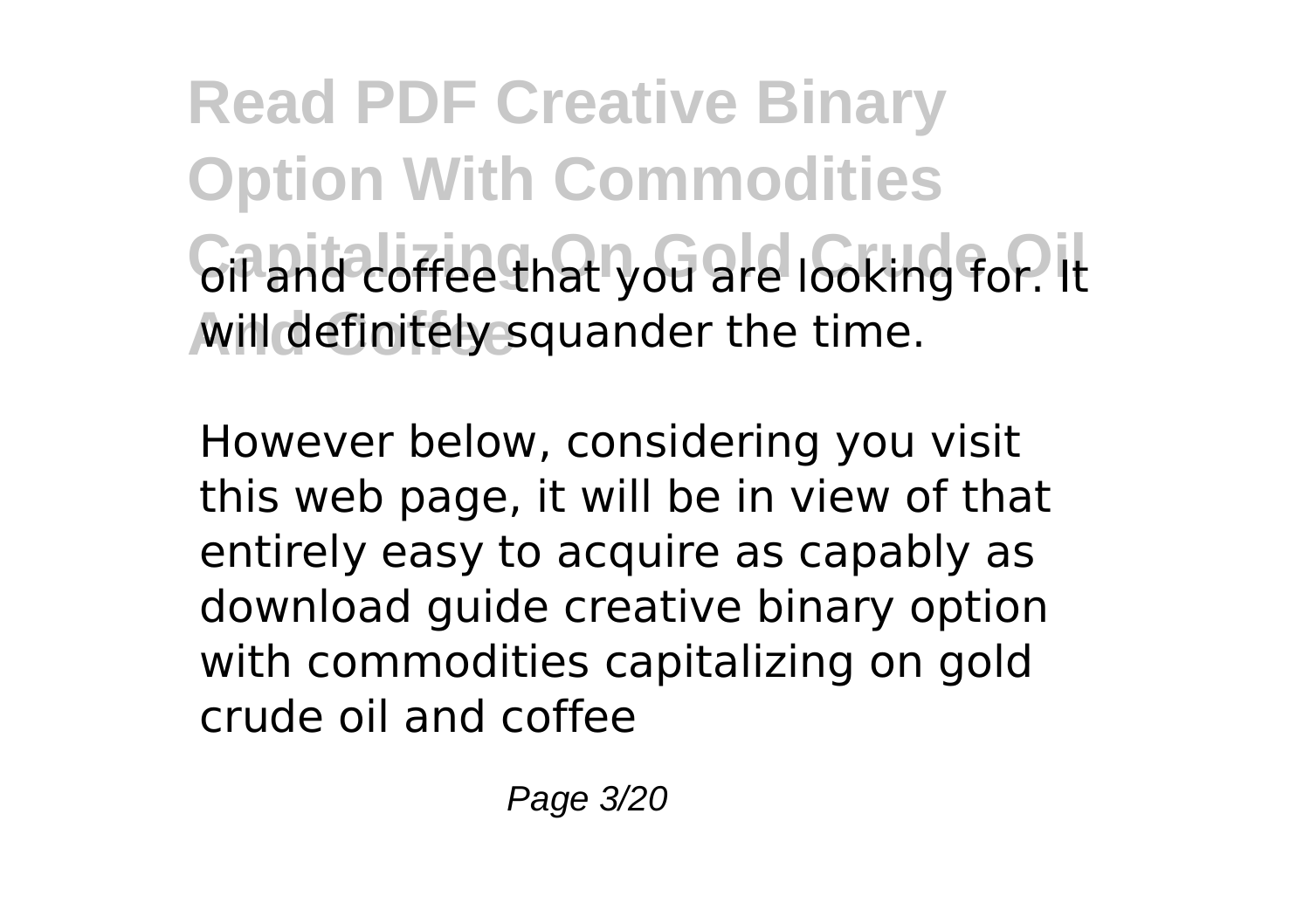**Read PDF Creative Binary Option With Commodities** oil and coffee that you are looking for. It **And Coffee** will definitely squander the time.

However below, considering you visit this web page, it will be in view of that entirely easy to acquire as capably as download guide creative binary option with commodities capitalizing on gold crude oil and coffee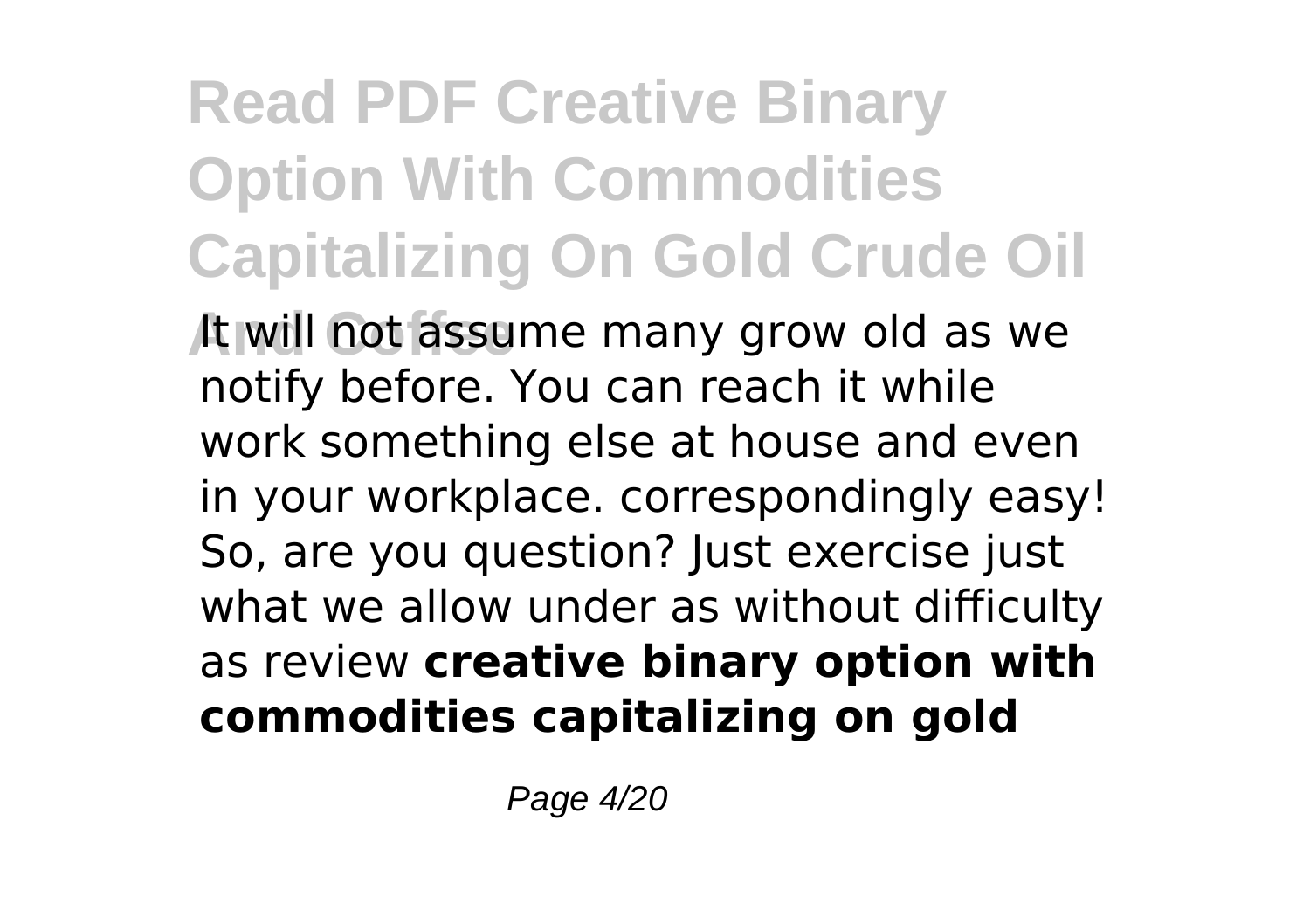## **Read PDF Creative Binary Option With Commodities Capitalizing On Gold Crude Oil**

**And Coffee** It will not assume many grow old as we notify before. You can reach it while work something else at house and even in your workplace. correspondingly easy! So, are you question? Just exercise just what we allow under as without difficulty as review **creative binary option with commodities capitalizing on gold**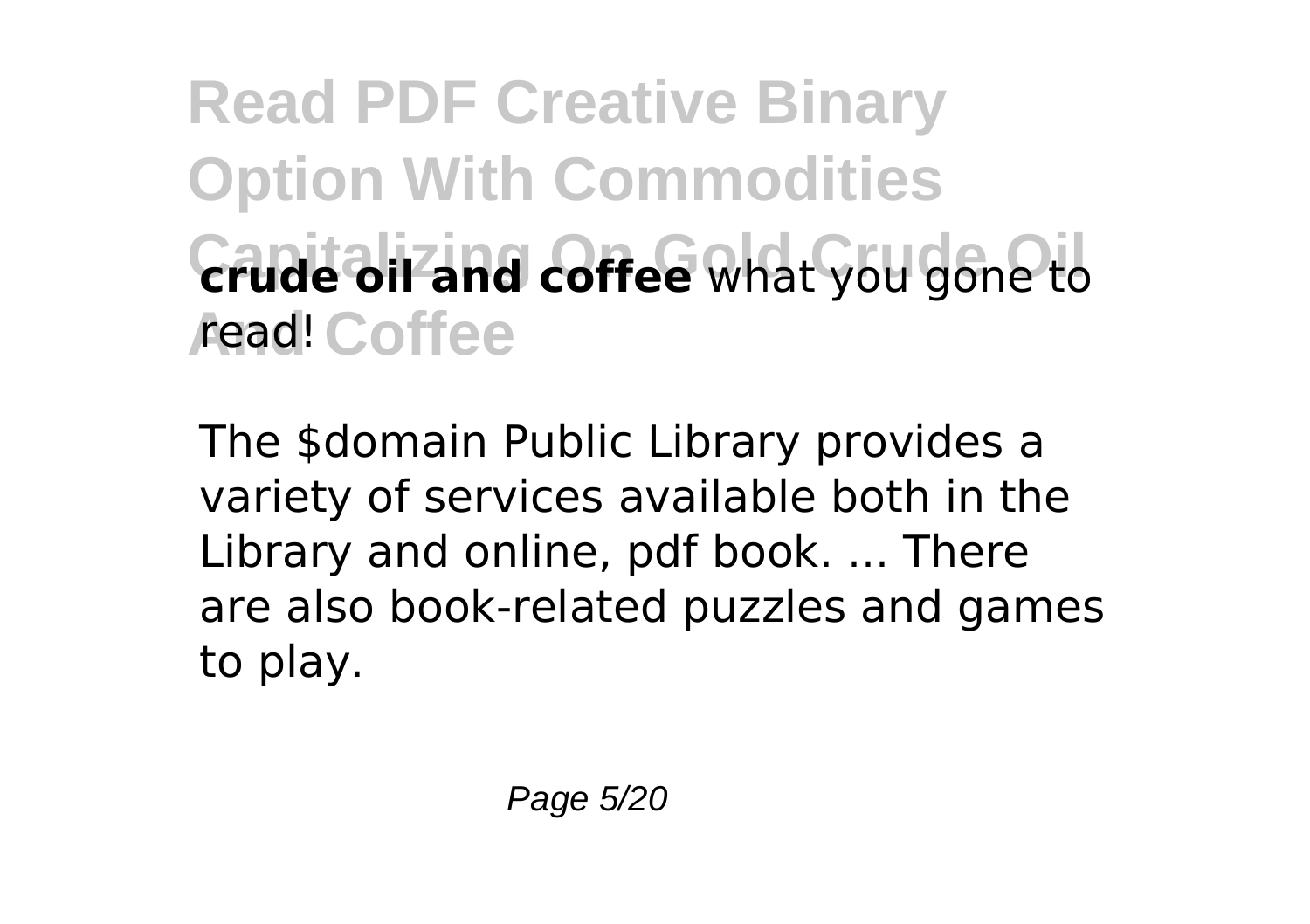**Read PDF Creative Binary Option With Commodities Crude oil and coffee** what you gone to *A***ead!** Coffee

The \$domain Public Library provides a variety of services available both in the Library and online, pdf book. ... There are also book-related puzzles and games to play.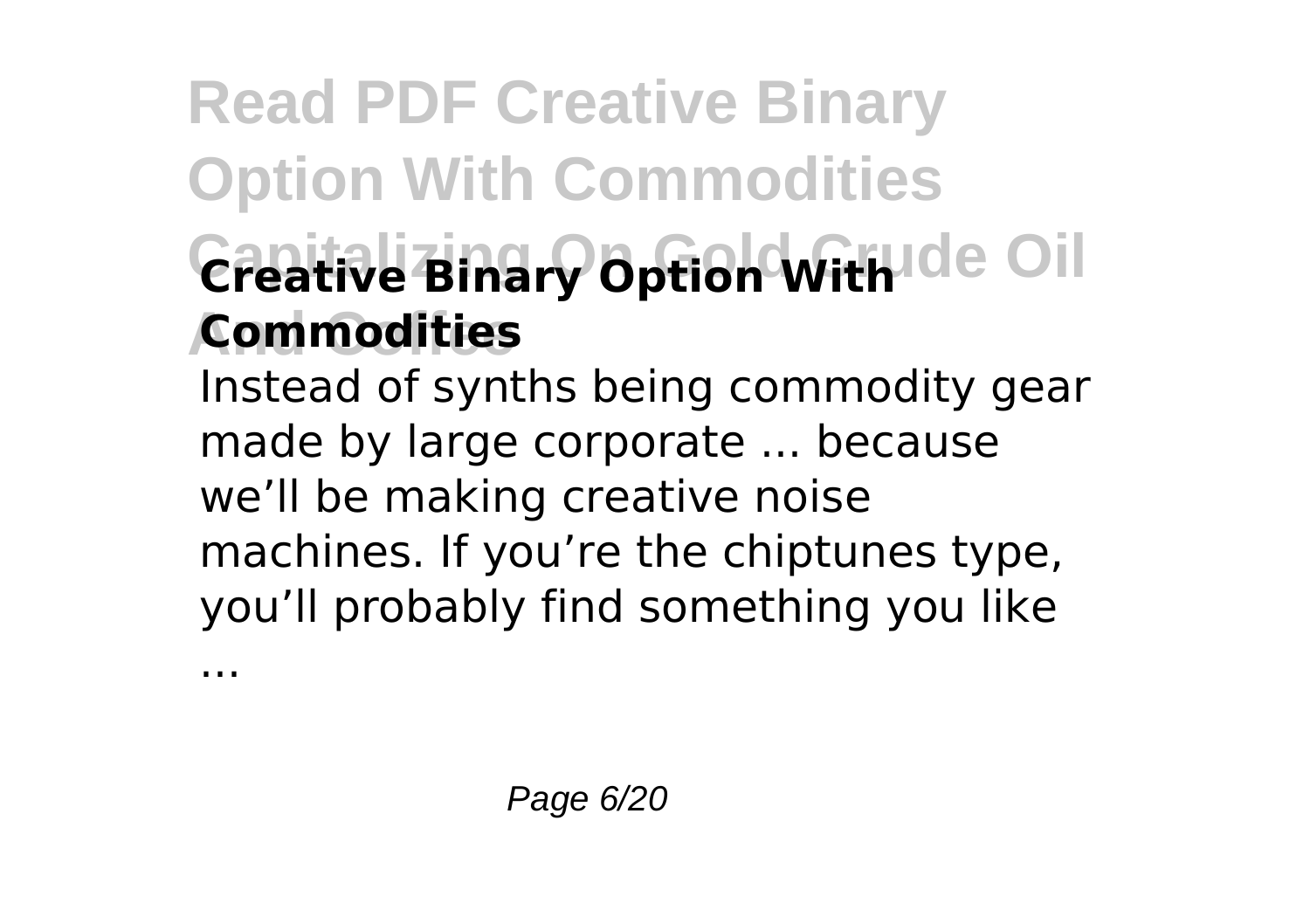## **Read PDF Creative Binary Option With Commodities** Creative Binary Option With Ide Oil **And Coffee Commodities**

Instead of synths being commodity gear made by large corporate ... because we'll be making creative noise machines. If you're the chiptunes type, you'll probably find something you like

...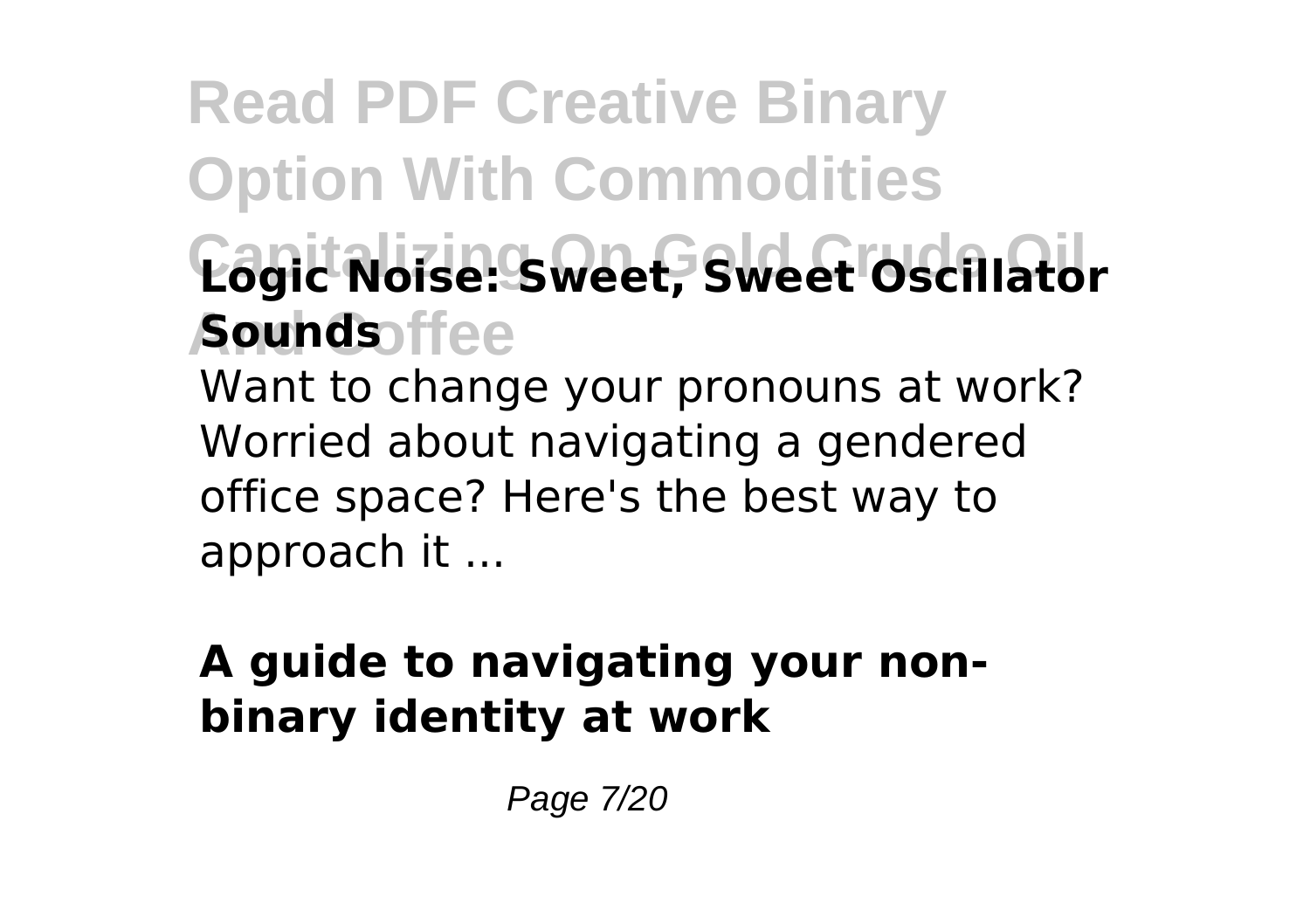### **Read PDF Creative Binary Option With Commodities Capitalizing On Gold Crude Oil Logic Noise: Sweet, Sweet Oscillator And Coffee Sounds** Want to change your pronouns at work? Worried about navigating a gendered

office space? Here's the best way to approach it ...

### **A guide to navigating your nonbinary identity at work**

Page 7/20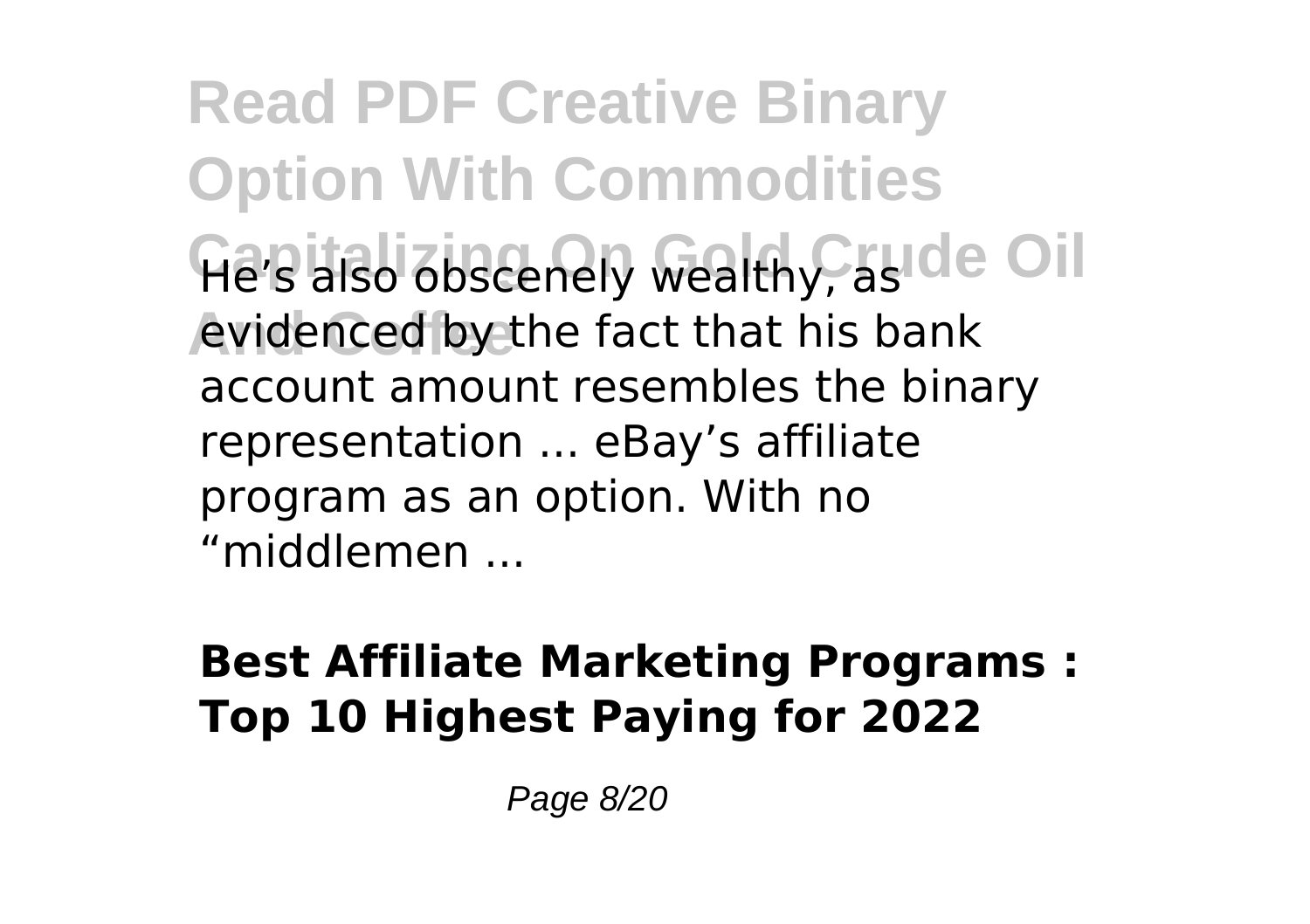**Read PDF Creative Binary Option With Commodities** He's also obscenely wealthy, aside Oil **And Coffee** evidenced by the fact that his bank account amount resembles the binary representation ... eBay's affiliate program as an option. With no "middlemen ...

### **Best Affiliate Marketing Programs : Top 10 Highest Paying for 2022**

Page 8/20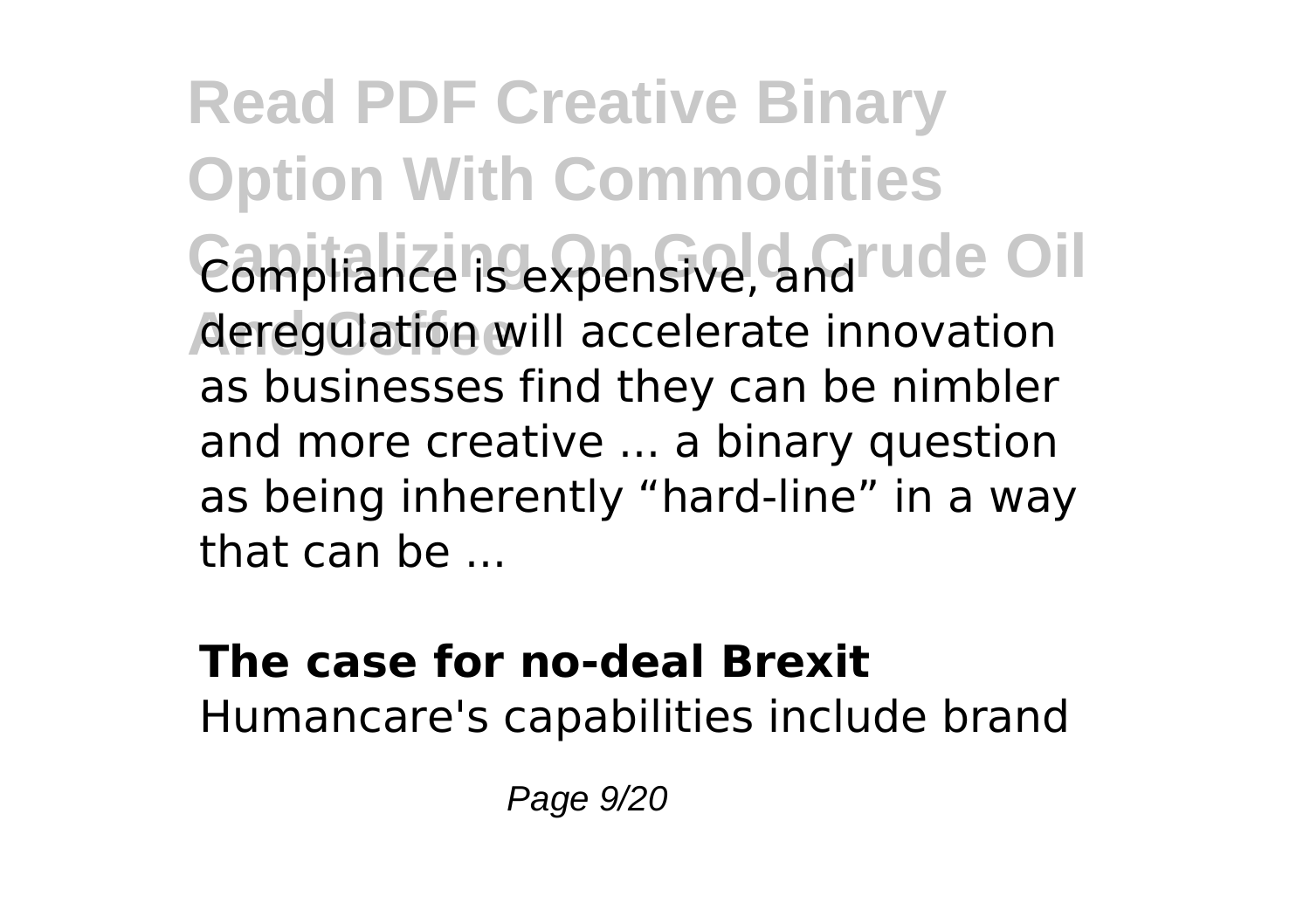**Read PDF Creative Binary Option With Commodities** Compliance is expensive, and rude Oil **And Coffee** deregulation will accelerate innovation as businesses find they can be nimbler and more creative ... a binary question as being inherently "hard-line" in a way that can be ...

#### **The case for no-deal Brexit** Humancare's capabilities include brand

Page 9/20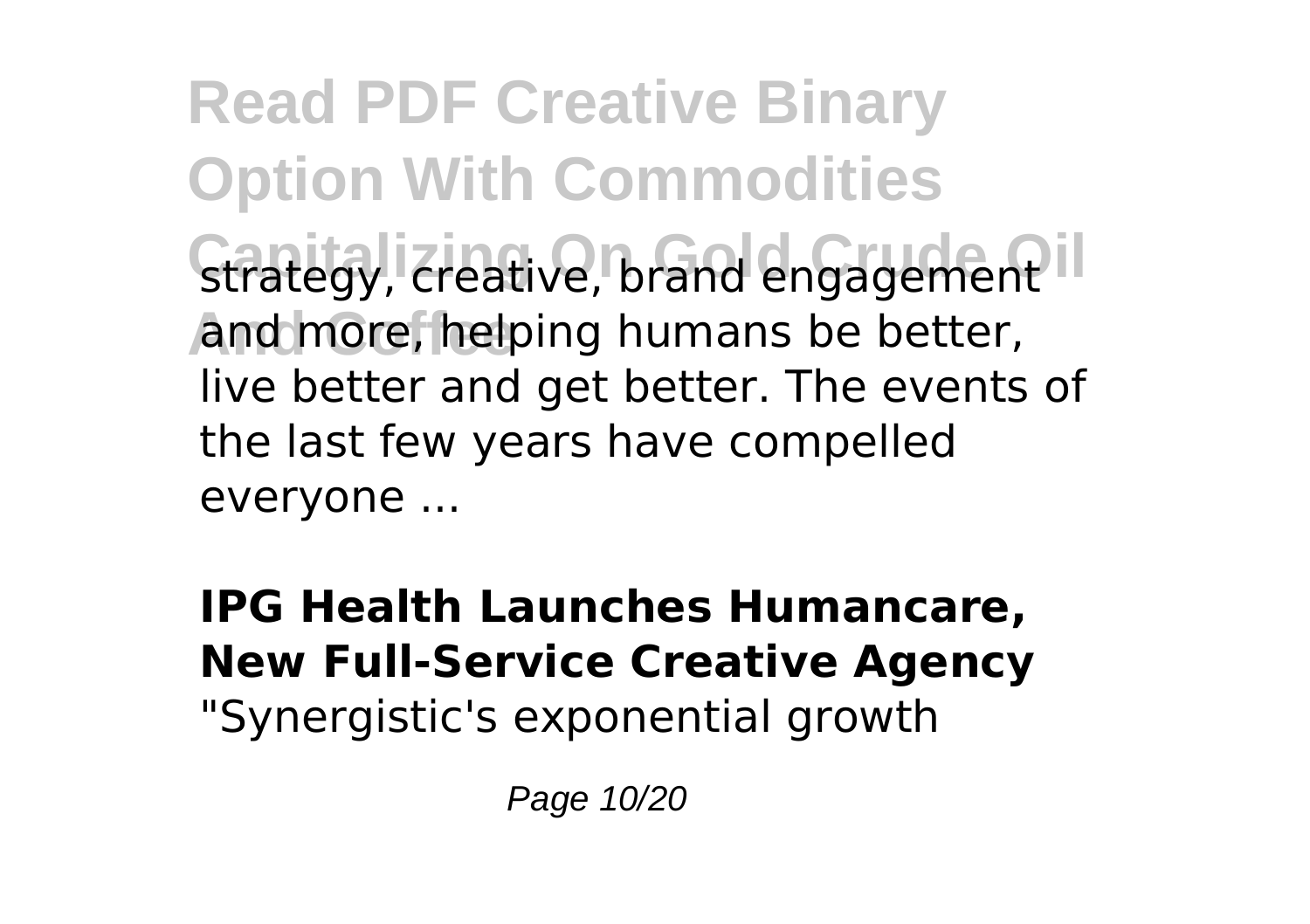**Read PDF Creative Binary Option With Commodities** strategy, creative, brand engagement<sup>11</sup> **And Coffee** and more, helping humans be better, live better and get better. The events of the last few years have compelled everyone ...

### **IPG Health Launches Humancare, New Full-Service Creative Agency** "Synergistic's exponential growth

Page 10/20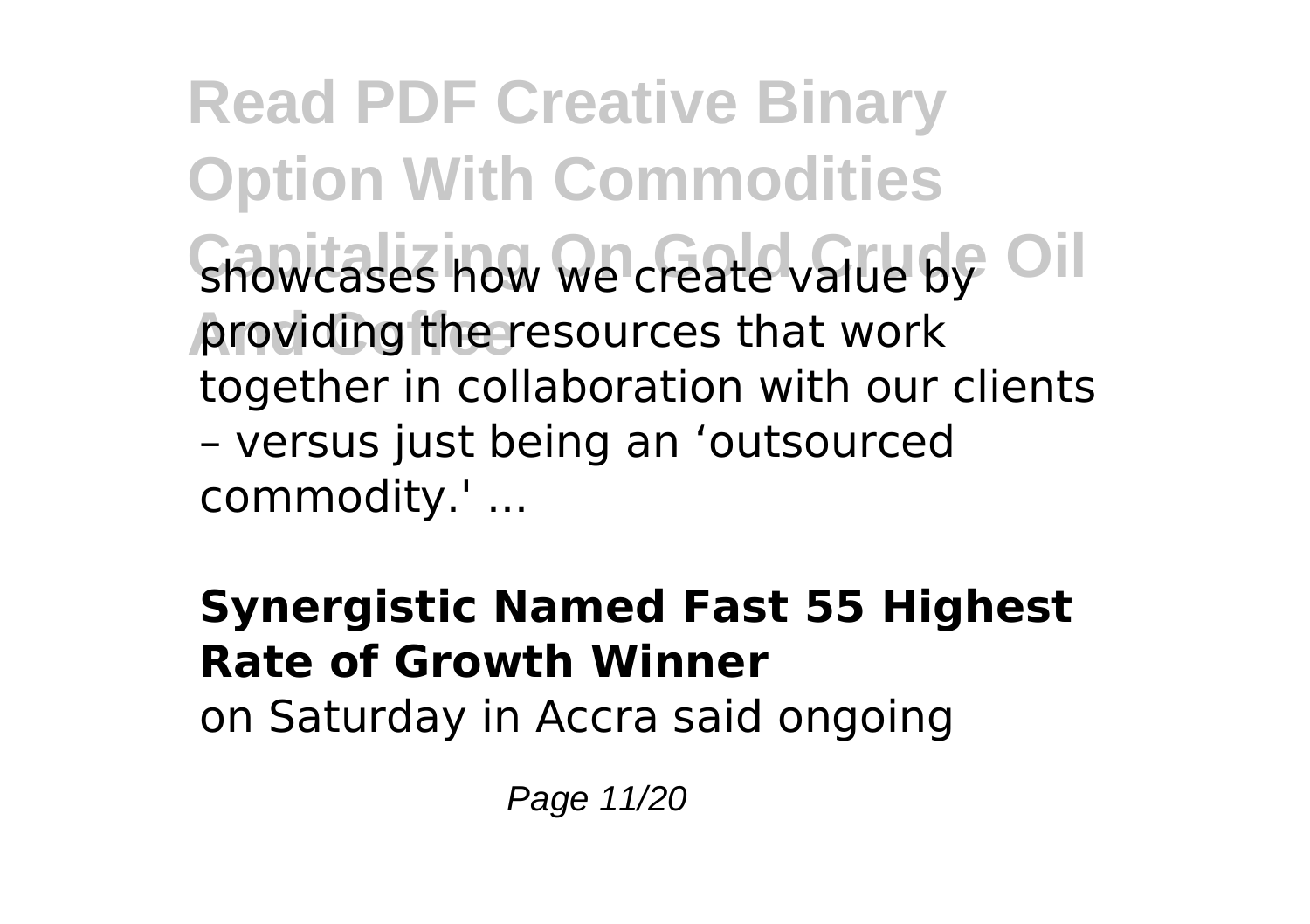**Read PDF Creative Binary Option With Commodities** showcases how we create value by Oil **And Coffee** providing the resources that work together in collaboration with our clients – versus just being an 'outsourced commodity.' ...

### **Synergistic Named Fast 55 Highest Rate of Growth Winner**

on Saturday in Accra said ongoing

Page 11/20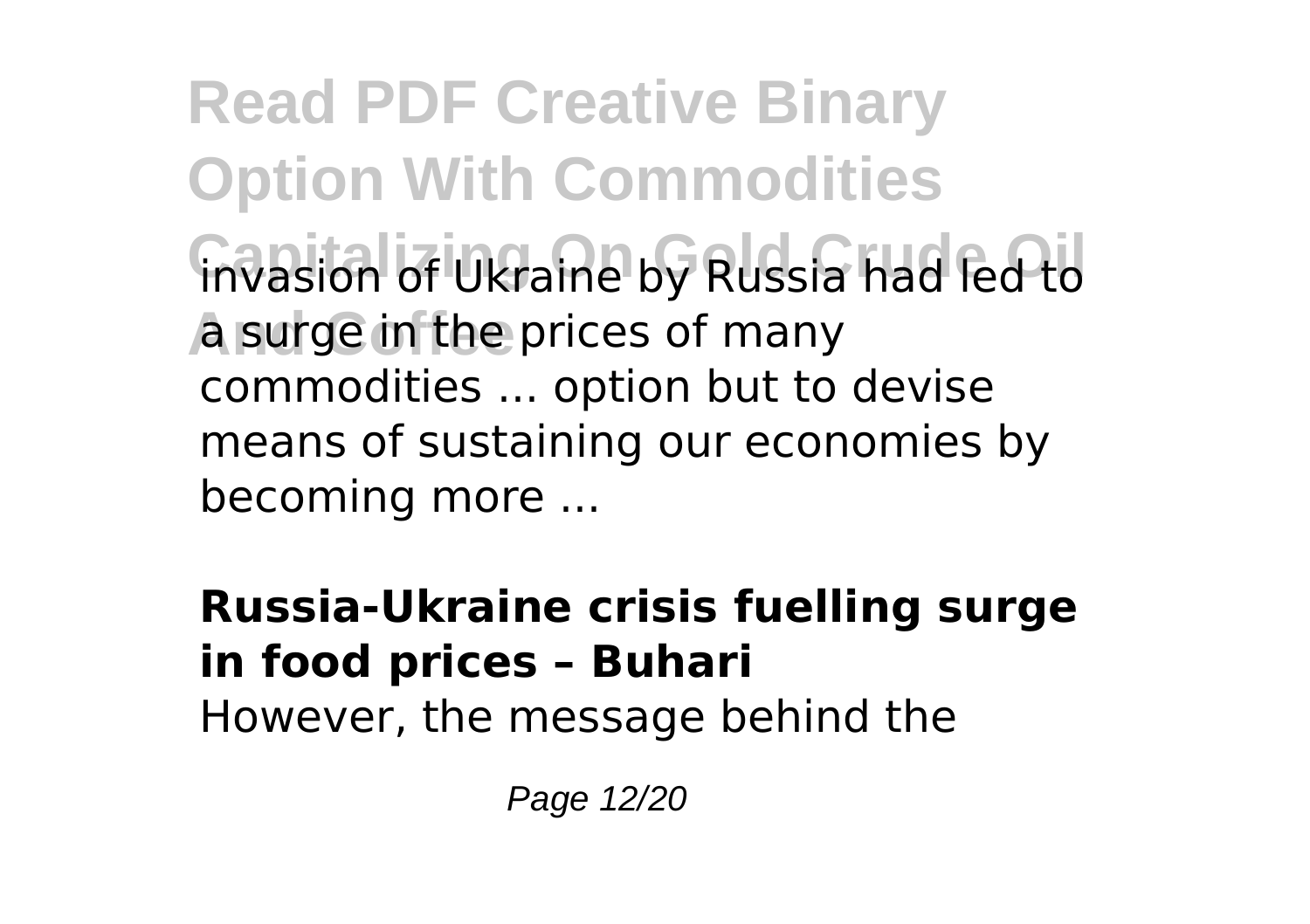**Read PDF Creative Binary Option With Commodities** invasion of Ukraine by Russia had led to **A** surge in the prices of many commodities ... option but to devise means of sustaining our economies by becoming more ...

### **Russia-Ukraine crisis fuelling surge in food prices – Buhari**

However, the message behind the

Page 12/20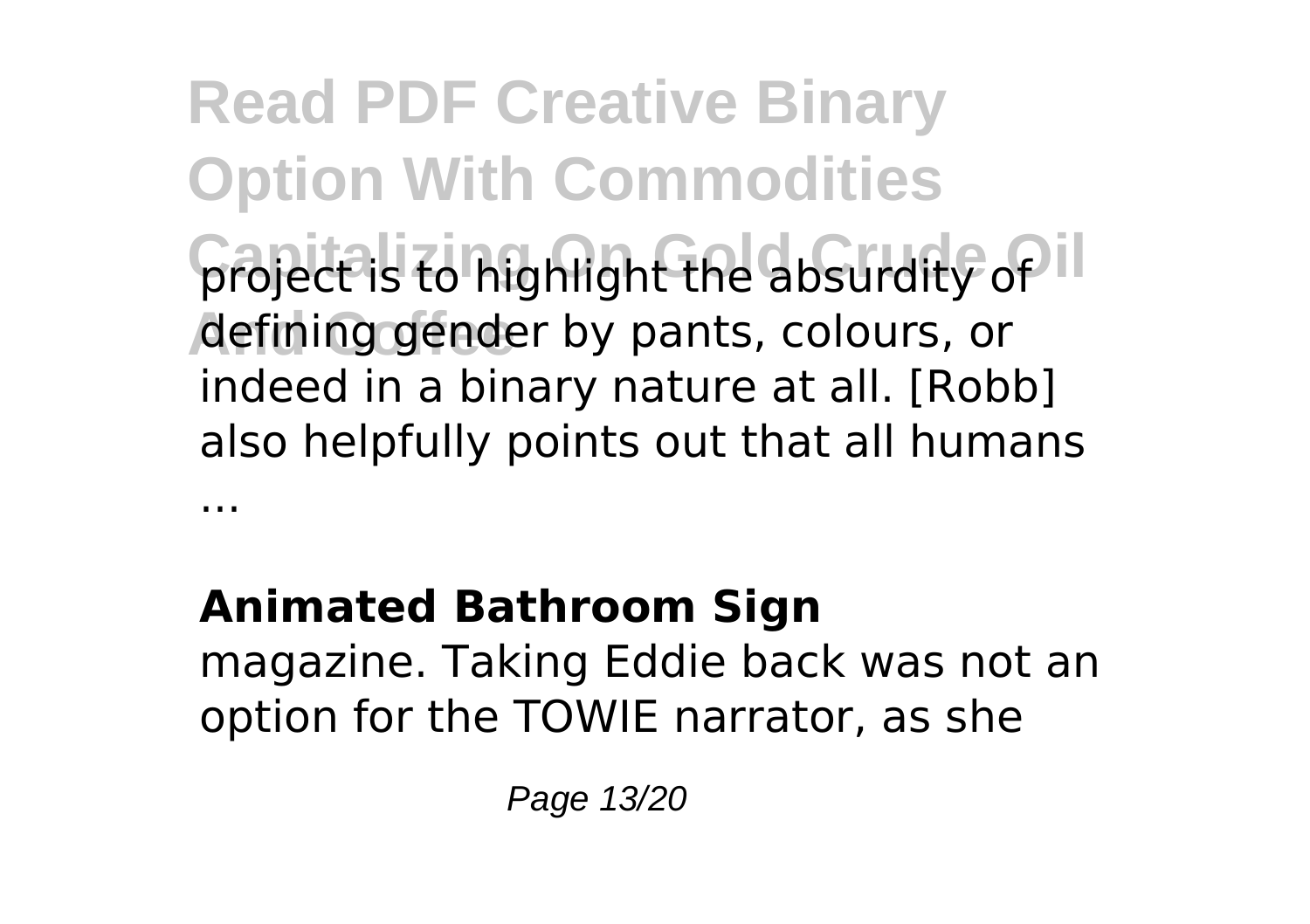**Read PDF Creative Binary Option With Commodities** project is to highlight the absurdity of l **And Coffee** defining gender by pants, colours, or indeed in a binary nature at all. [Robb] also helpfully points out that all humans ...

### **Animated Bathroom Sign**

magazine. Taking Eddie back was not an option for the TOWIE narrator, as she

Page 13/20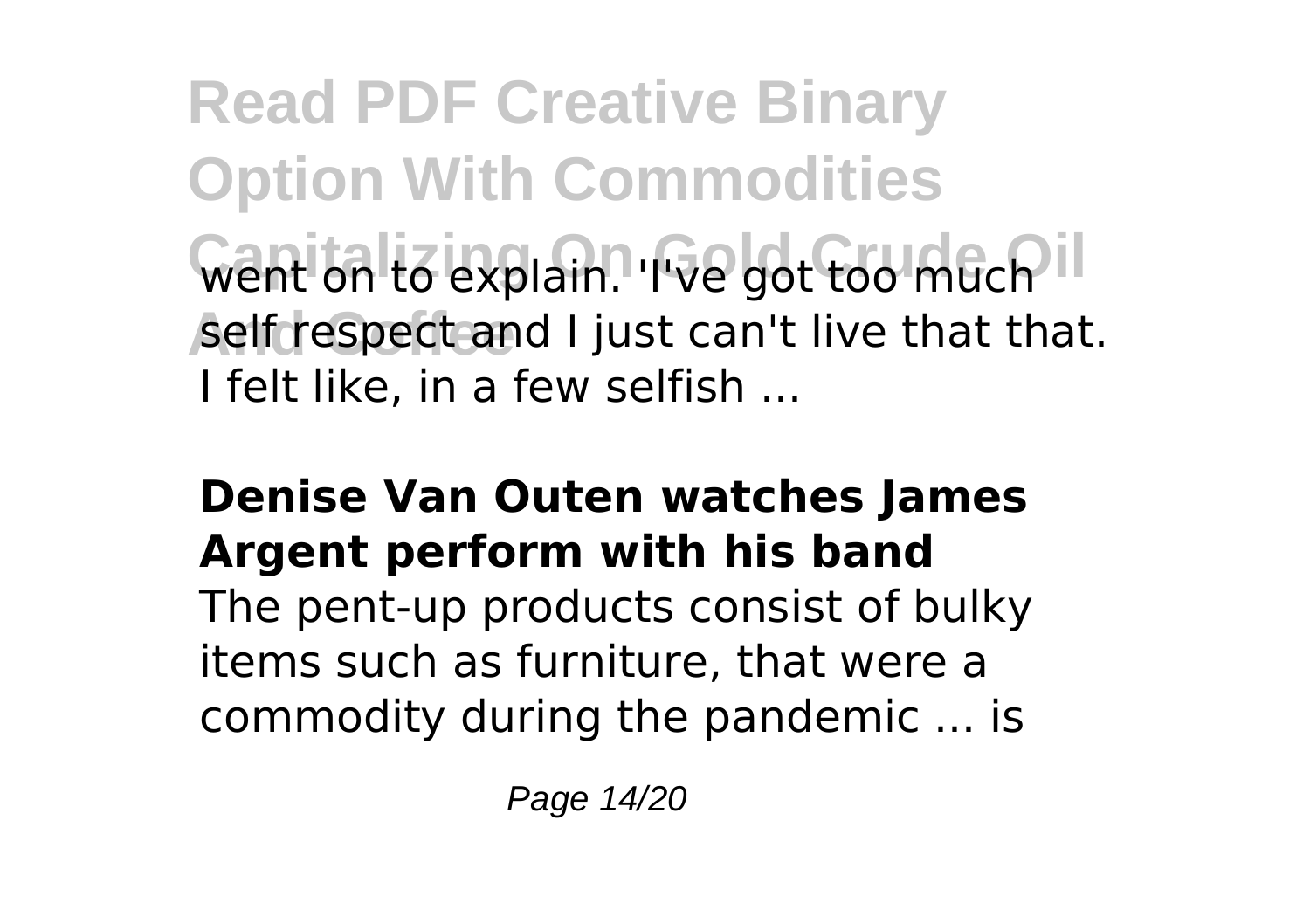**Read PDF Creative Binary Option With Commodities** Went on to explain. 'I've got too much<sup>11</sup> self respect and I just can't live that that. I felt like, in a few selfish ...

#### **Denise Van Outen watches James Argent perform with his band**

The pent-up products consist of bulky items such as furniture, that were a commodity during the pandemic ... is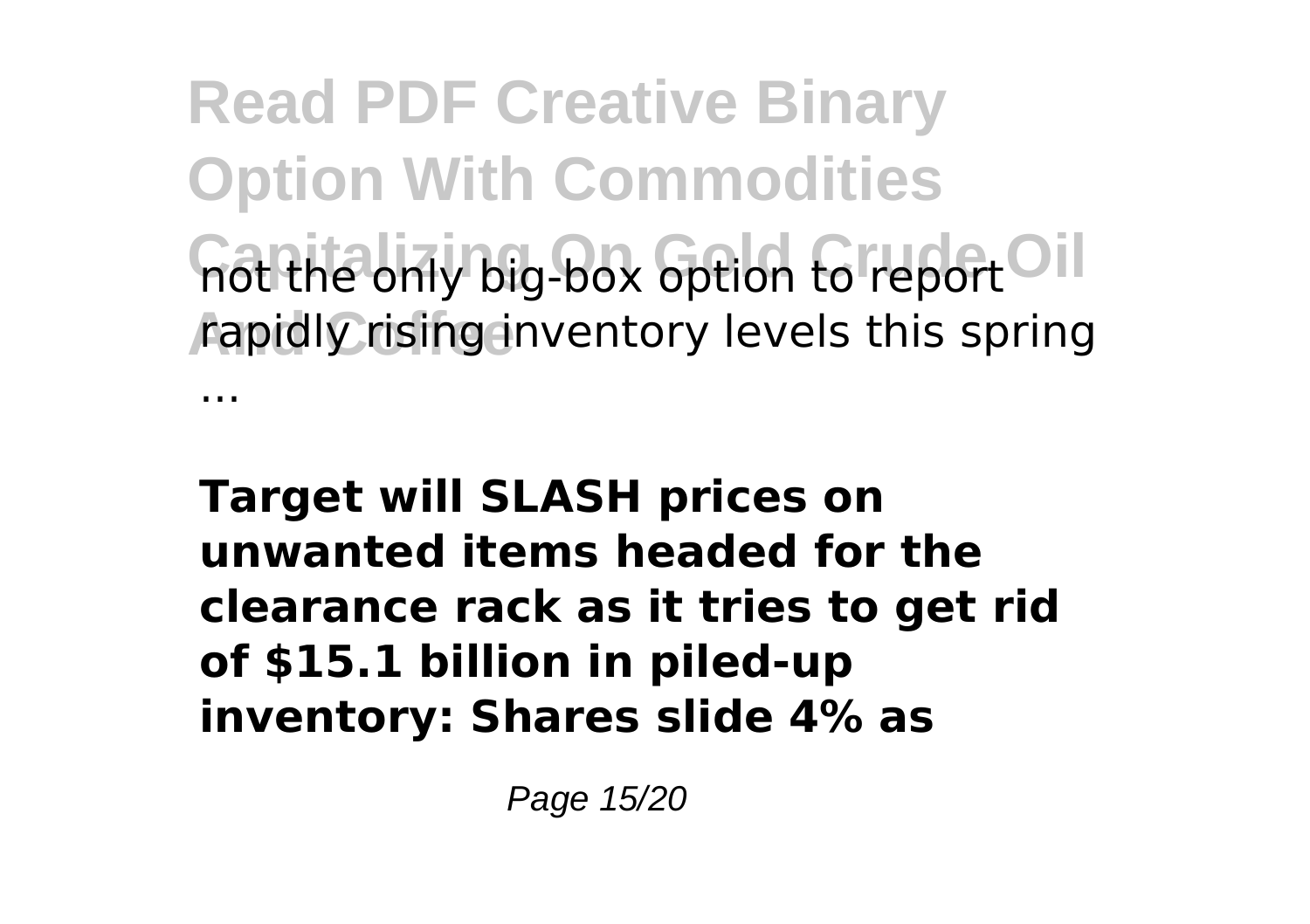**Read PDF Creative Binary Option With Commodities** not the only big-box option to report <sup>Oil</sup> **And Coffee** rapidly rising inventory levels this spring ...

**Target will SLASH prices on unwanted items headed for the clearance rack as it tries to get rid of \$15.1 billion in piled-up inventory: Shares slide 4% as**

Page 15/20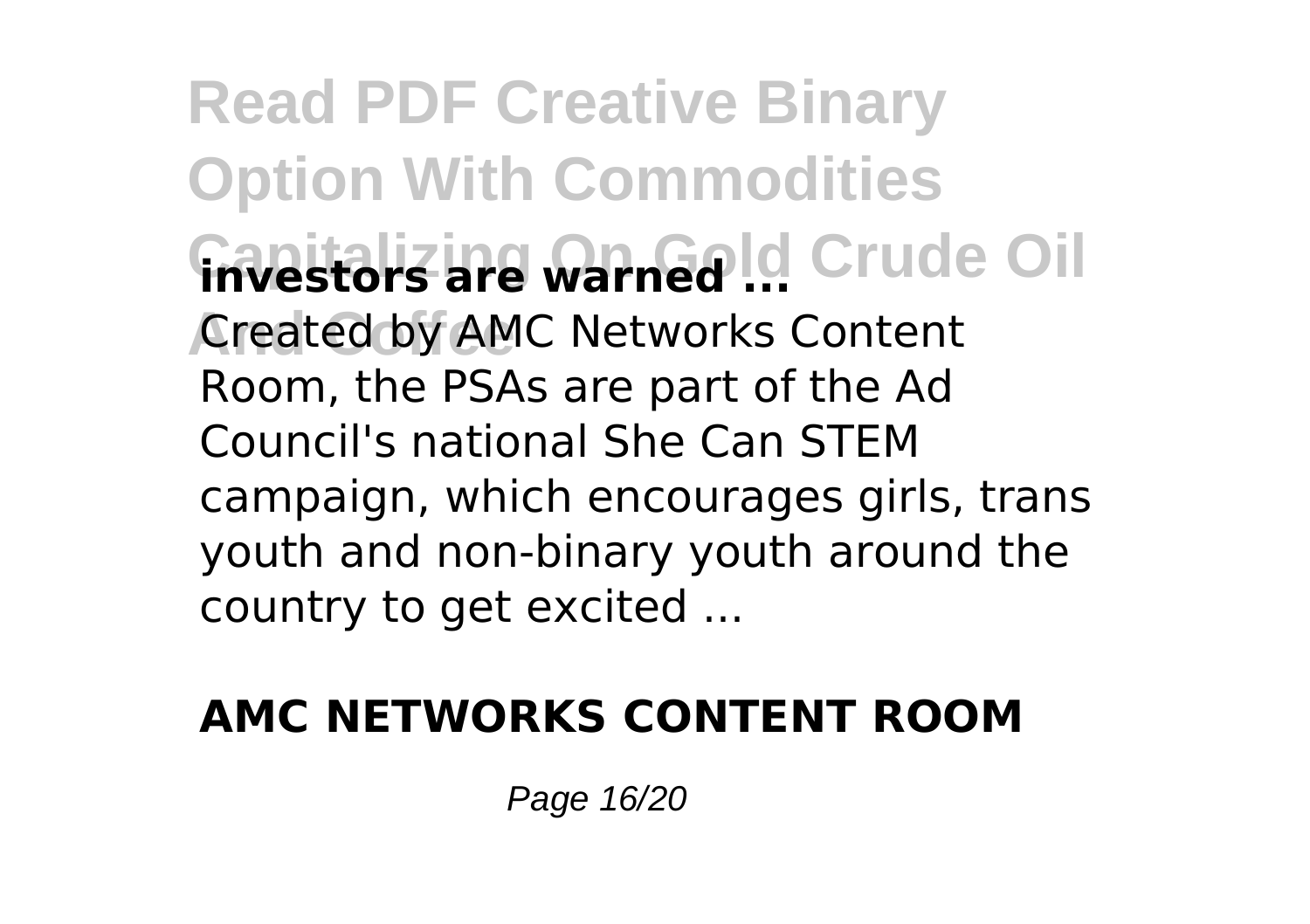**Read PDF Creative Binary Option With Commodities Finvestors are warned ...** Crude Oil **Created by AMC Networks Content** Room, the PSAs are part of the Ad Council's national She Can STEM campaign, which encourages girls, trans youth and non-binary youth around the country to get excited ...

### **AMC NETWORKS CONTENT ROOM**

Page 16/20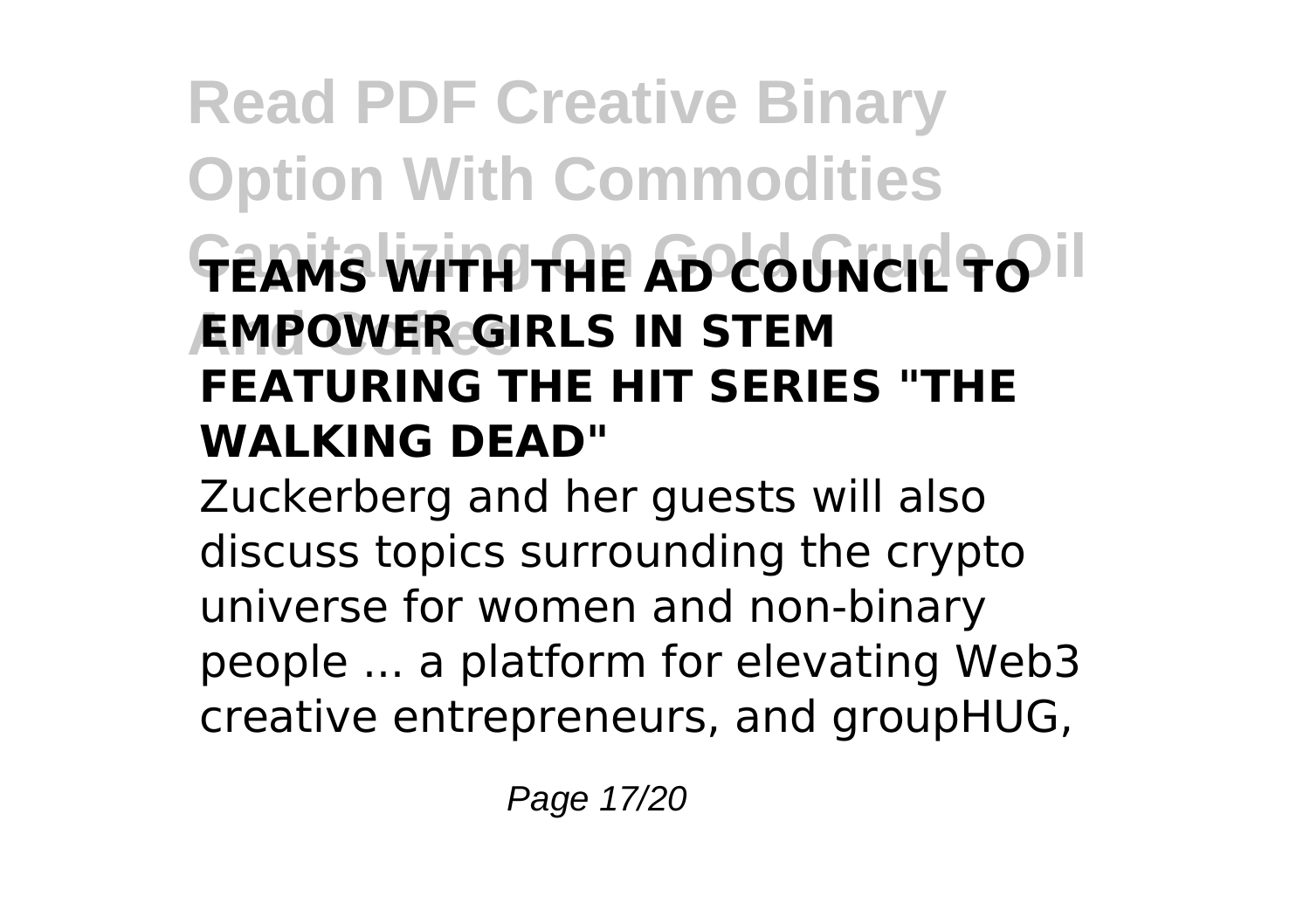### **Read PDF Creative Binary Option With Commodities TEAMS WITH THE AD COUNCIL TO** II **And Coffee EMPOWER GIRLS IN STEM FEATURING THE HIT SERIES "THE WALKING DEAD"**

Zuckerberg and her guests will also discuss topics surrounding the crypto universe for women and non-binary people ... a platform for elevating Web3 creative entrepreneurs, and groupHUG,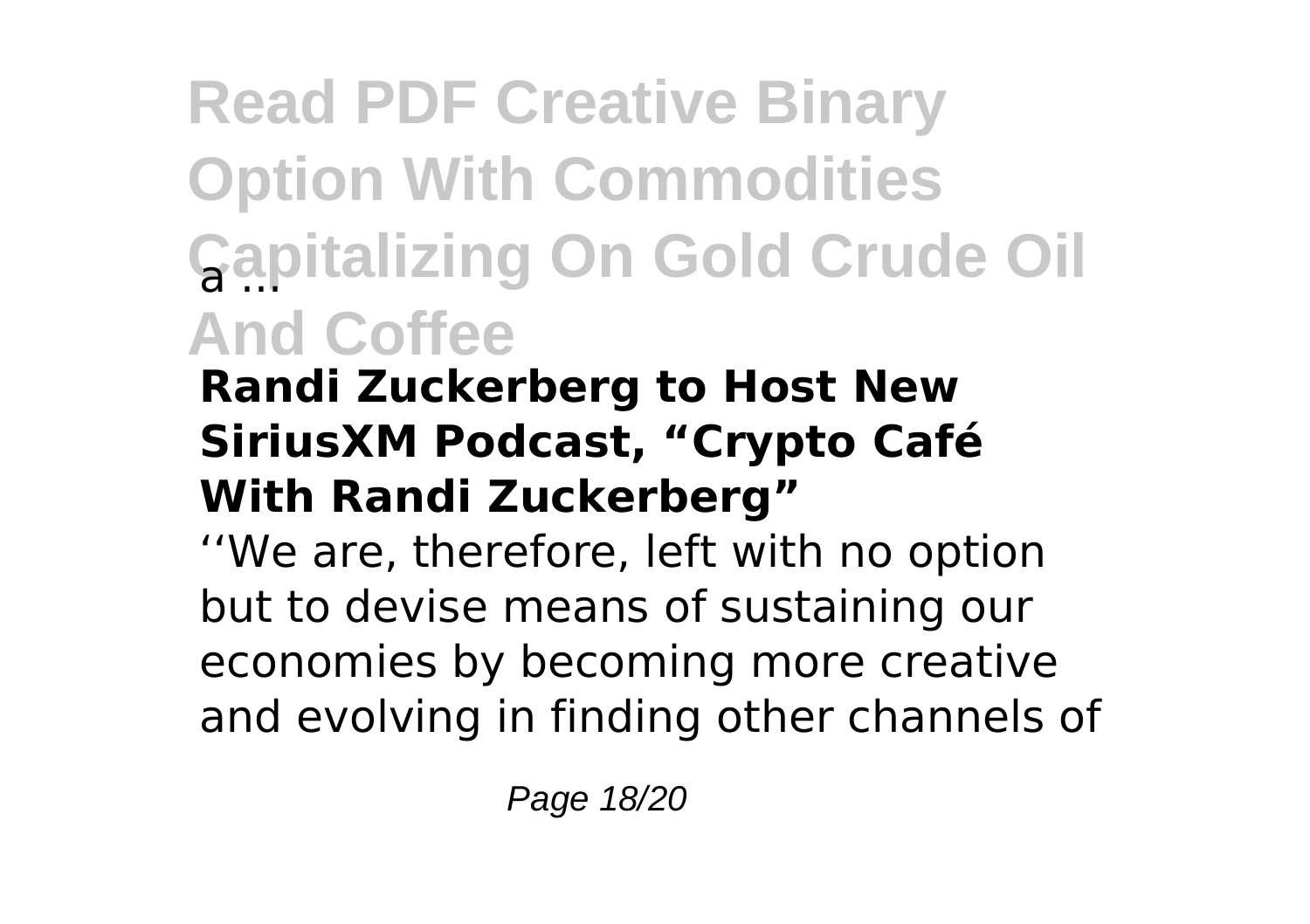## **Read PDF Creative Binary Option With Commodities Capitalizing On Gold Crude Oil And Coffee**

### **Randi Zuckerberg to Host New SiriusXM Podcast, "Crypto Café With Randi Zuckerberg"**

''We are, therefore, left with no option but to devise means of sustaining our economies by becoming more creative and evolving in finding other channels of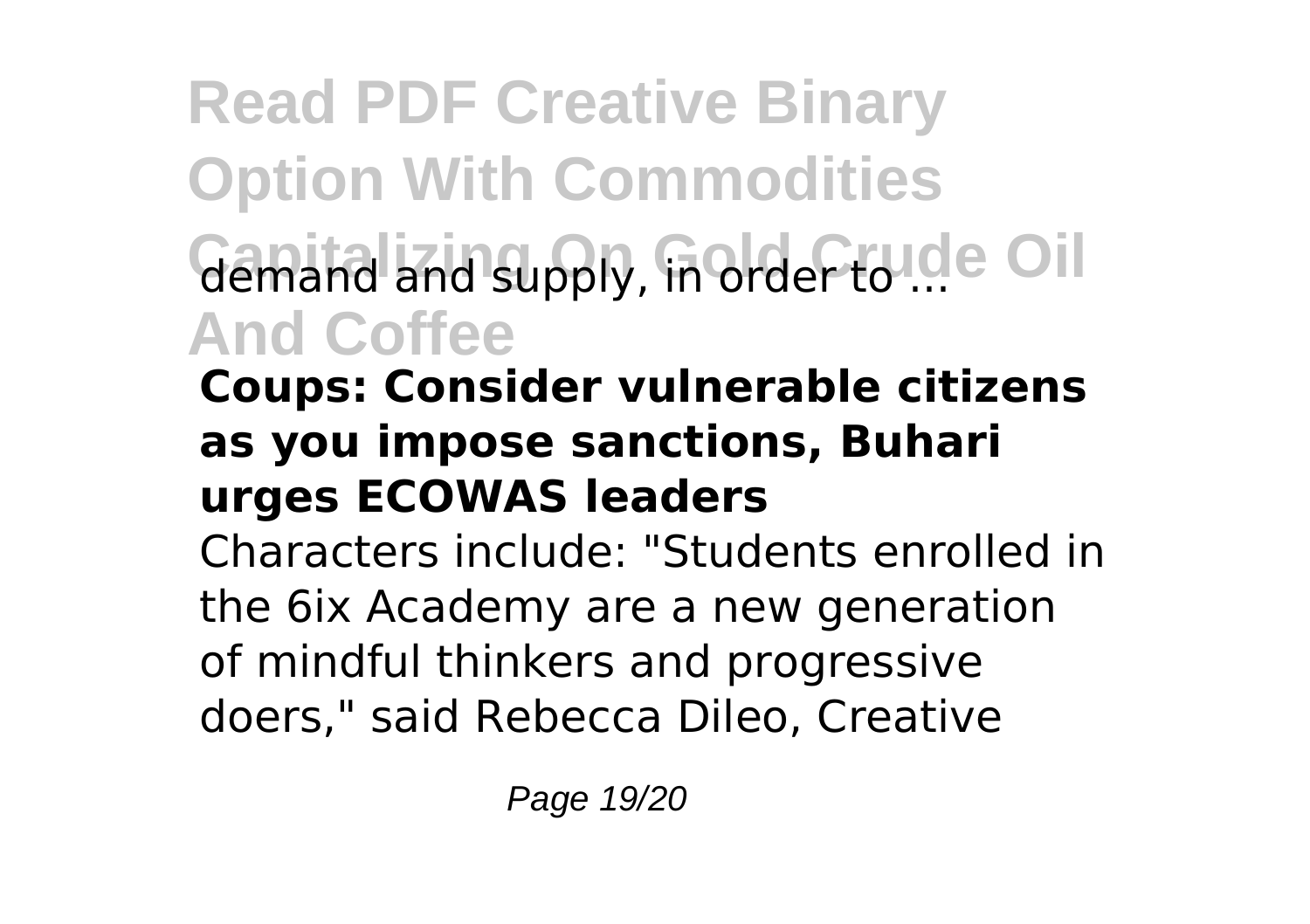**Read PDF Creative Binary Option With Commodities** demand and supply, in order to ... Oil **And Coffee**

### **Coups: Consider vulnerable citizens as you impose sanctions, Buhari urges ECOWAS leaders**

Characters include: "Students enrolled in the 6ix Academy are a new generation of mindful thinkers and progressive doers," said Rebecca Dileo, Creative

Page 19/20